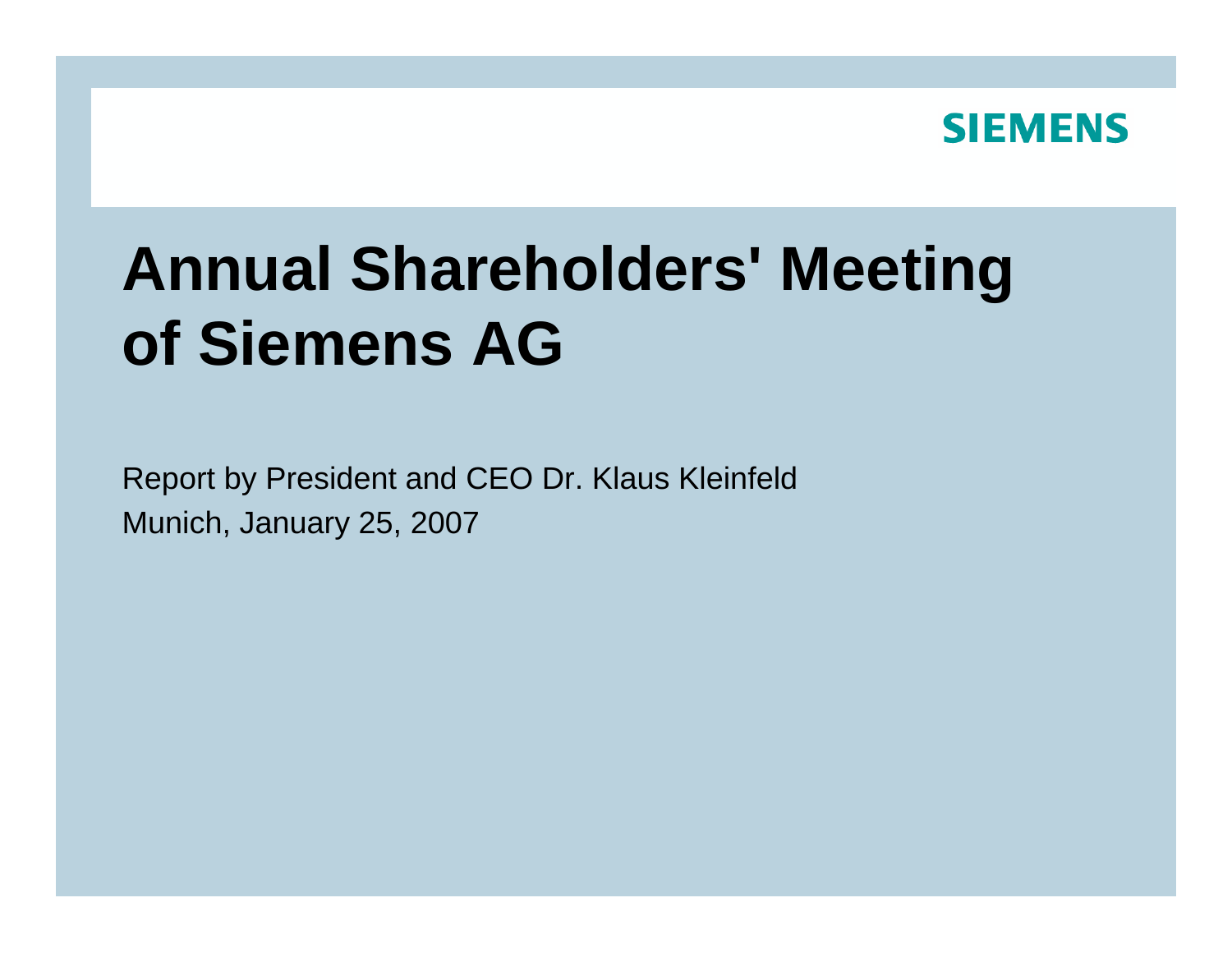

## **Annual Shareholders' Meeting of Siemens AG**

Report by President and CEO Dr. Klaus Kleinfeld Munic h, January 25, 2007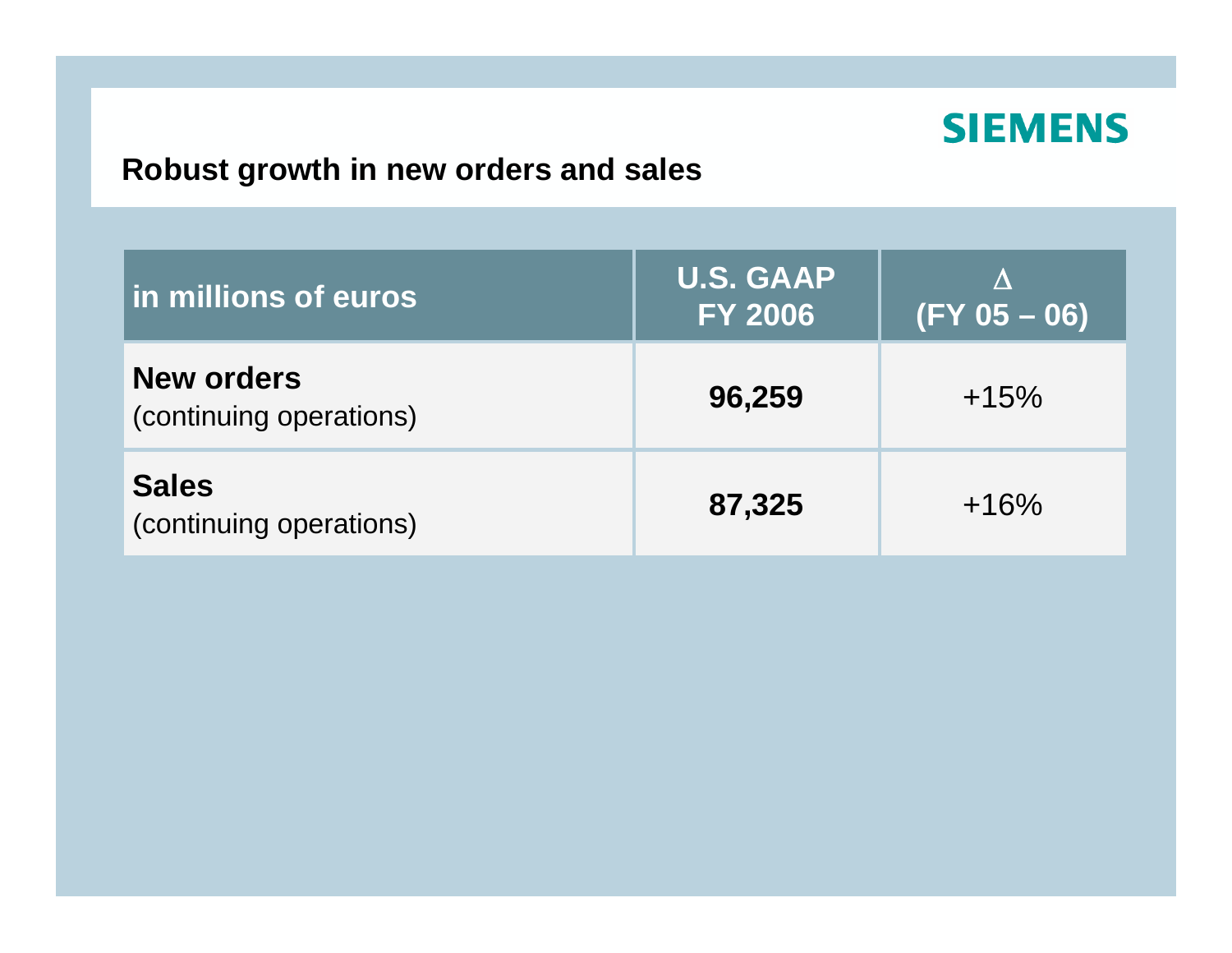#### **Robust growth in new orders and sales**

| <b>In millions of euros</b>                  | <b>U.S. GAAP</b><br><b>FY 2006</b> | Λ<br>$(FY 05 - 06)$ |
|----------------------------------------------|------------------------------------|---------------------|
| <b>New orders</b><br>(continuing operations) | 96,259                             | $+15%$              |
| <b>Sales</b><br>(continuing operations)      | 87,325                             | $+16%$              |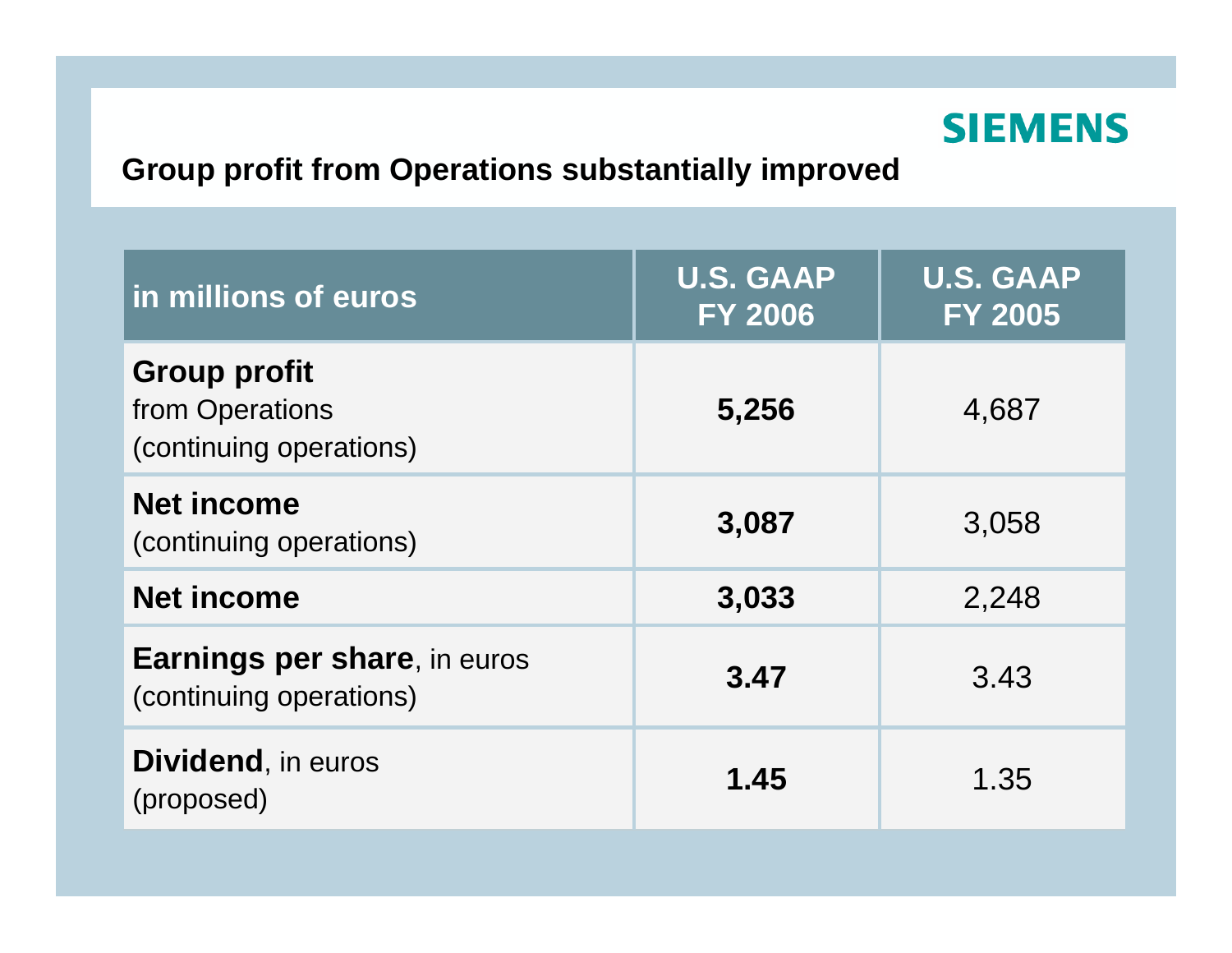

#### **Group profit from Operations substantially improved**

| in millions of euros                                              | <b>U.S. GAAP</b><br><b>FY 2006</b> | <b>U.S. GAAP</b><br><b>FY 2005</b> |
|-------------------------------------------------------------------|------------------------------------|------------------------------------|
| <b>Group profit</b><br>from Operations<br>(continuing operations) | 5,256                              | 4,687                              |
| <b>Net income</b><br>(continuing operations)                      | 3,087                              | 3,058                              |
| <b>Net income</b>                                                 | 3,033                              | 2,248                              |
| <b>Earnings per share, in euros</b><br>(continuing operations)    | 3.47                               | 3.43                               |
| <b>Dividend, in euros</b><br>(proposed)                           | 1.45                               | 1.35                               |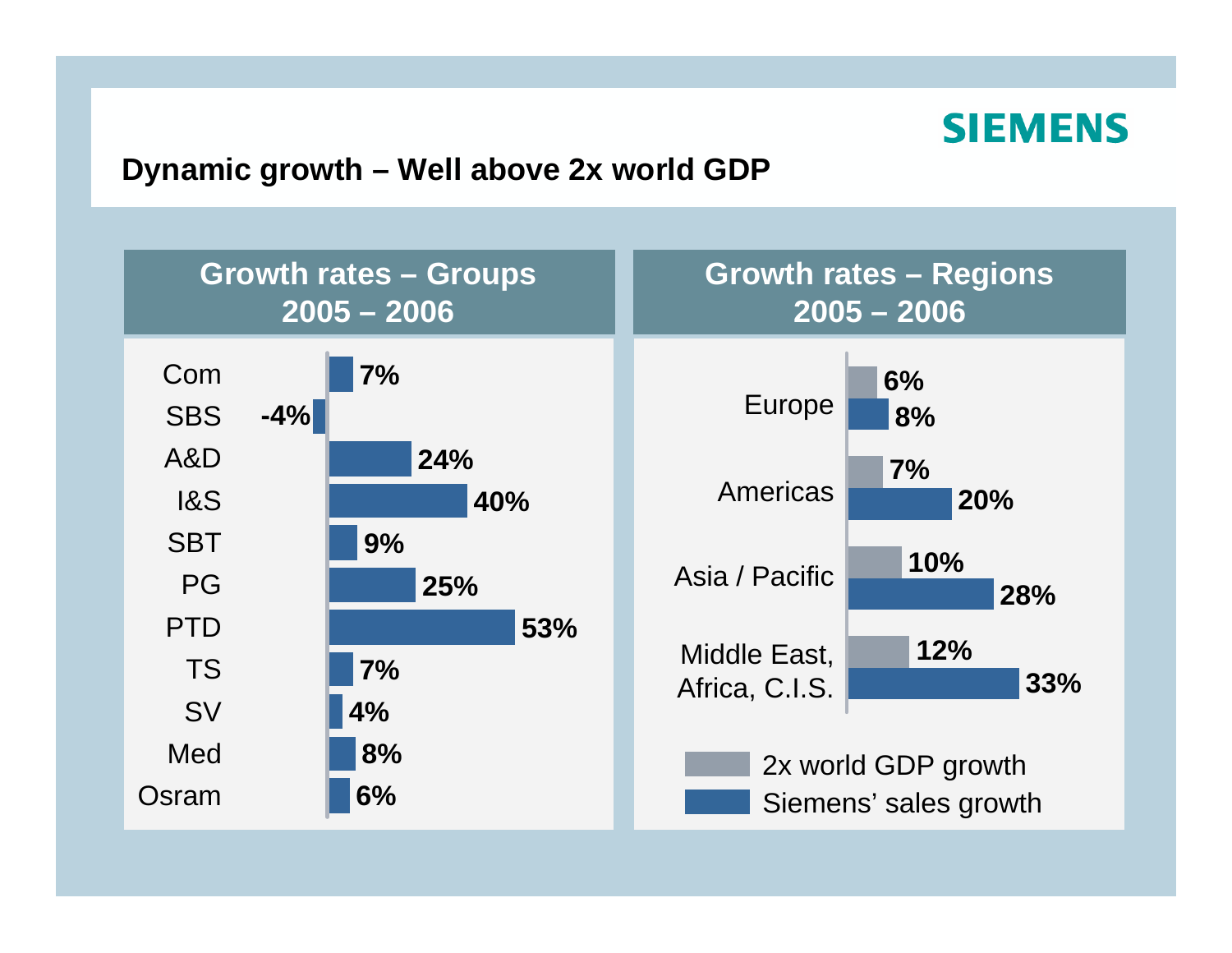#### **Dynamic growth – Well above 2x world GDP**

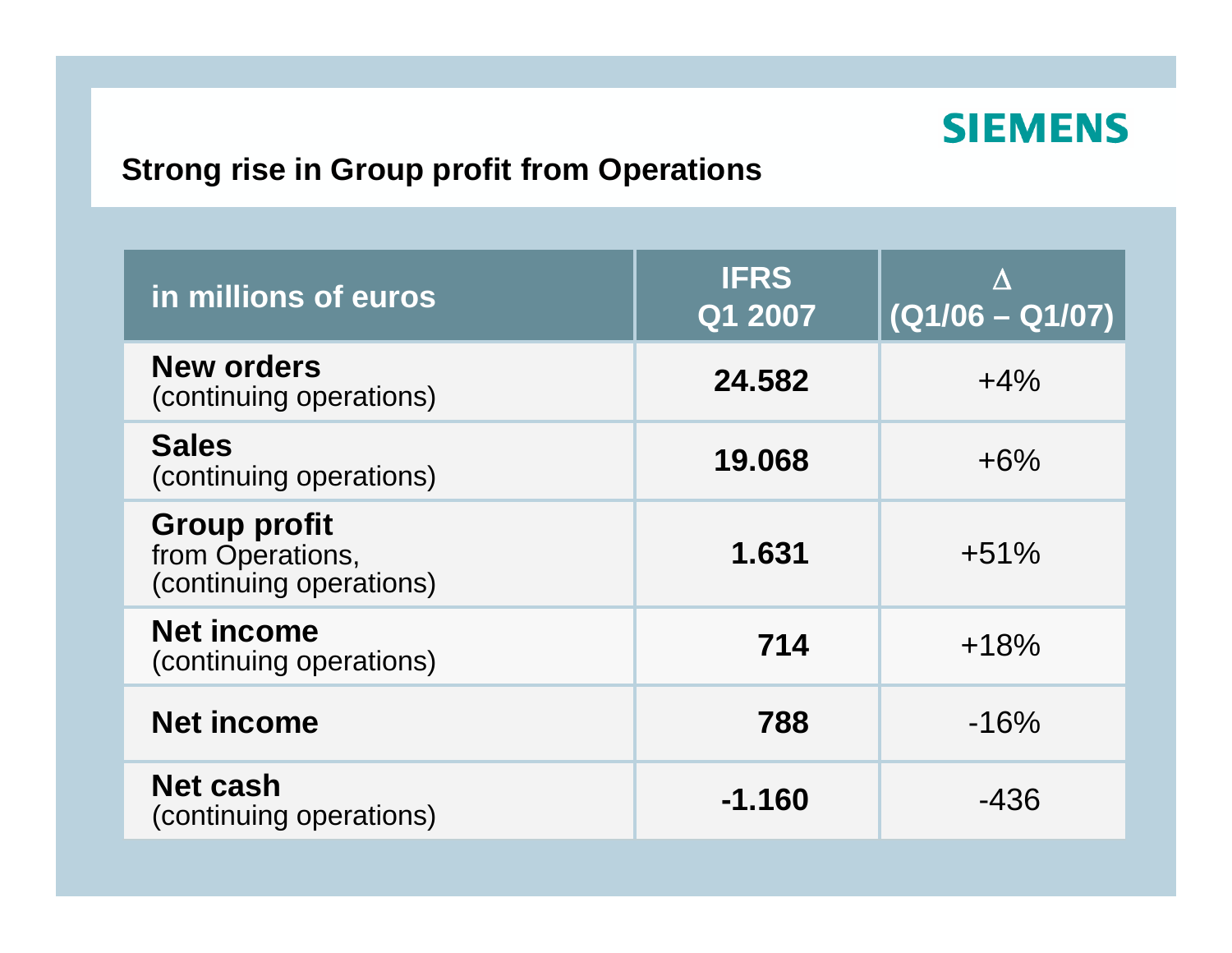#### **Strong rise in Group profit from Operations**

| in millions of euros                                               | <b>IFRS</b><br>Q1 2007 | $(Q1/06 - Q1/07)$ |
|--------------------------------------------------------------------|------------------------|-------------------|
| <b>New orders</b><br>(continuing operations)                       | 24.582                 | $+4\%$            |
| <b>Sales</b><br>(continuing operations)                            | 19.068                 | $+6\%$            |
| <b>Group profit</b><br>from Operations,<br>(continuing operations) | 1.631                  | $+51%$            |
| <b>Net income</b><br>(continuing operations)                       | 714                    | $+18%$            |
| <b>Net income</b>                                                  | 788                    | $-16%$            |
| <b>Net cash</b><br>(continuing operations)                         | -1.160                 | $-436$            |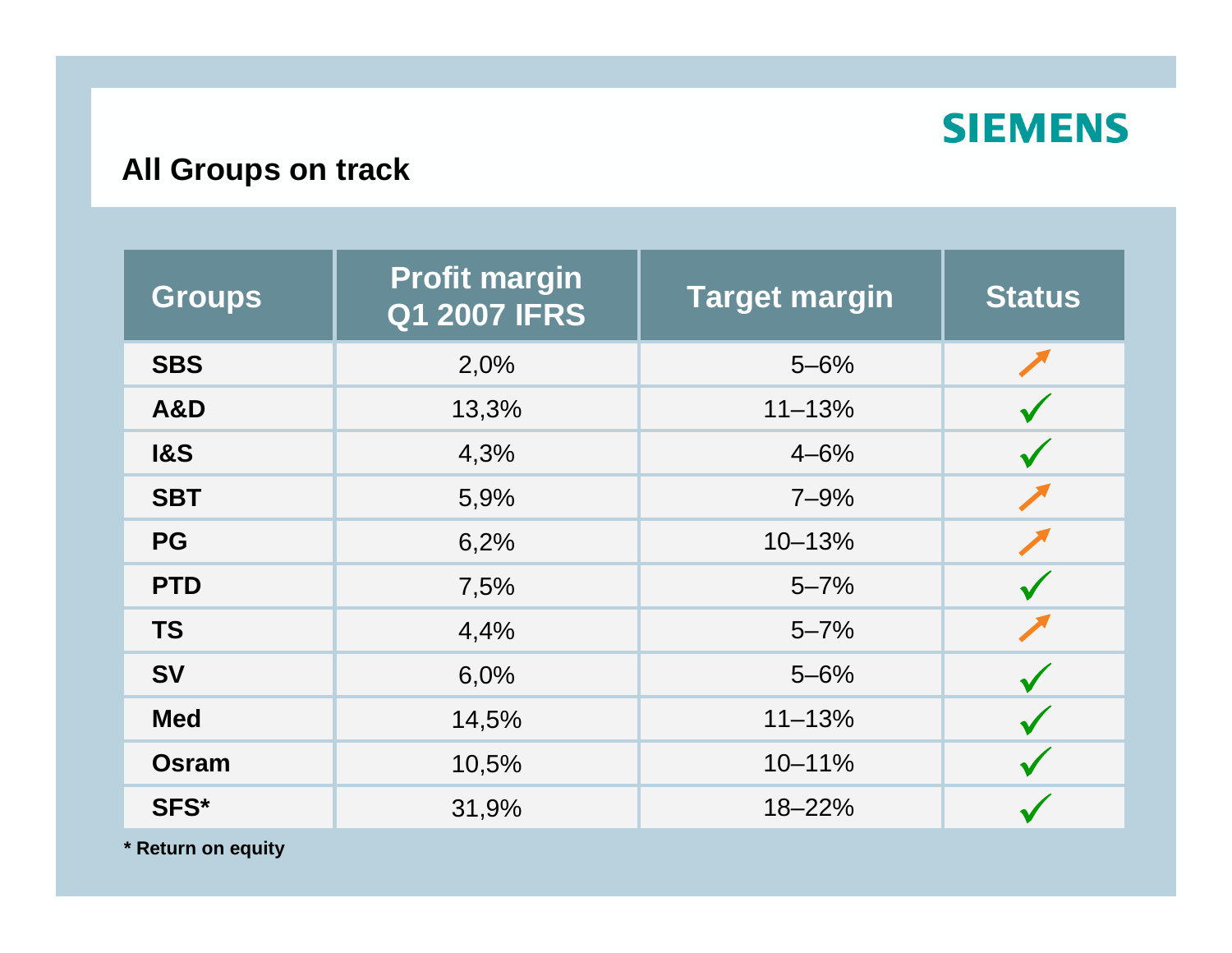

#### **All Groups on track**

| <b>Groups</b>  | <b>Profit margin</b><br><b>Q1 2007 IFRS</b> | <b>Target margin</b> | <b>Status</b> |
|----------------|---------------------------------------------|----------------------|---------------|
| <b>SBS</b>     | 2,0%                                        | $5 - 6%$             |               |
| A&D            | 13,3%                                       | $11 - 13%$           |               |
| <b>1&amp;S</b> | 4,3%                                        | $4 - 6%$             |               |
| <b>SBT</b>     | 5,9%                                        | $7 - 9%$             |               |
| <b>PG</b>      | 6,2%                                        | 10-13%               |               |
| <b>PTD</b>     | 7,5%                                        | $5 - 7%$             |               |
| <b>TS</b>      | 4,4%                                        | $5 - 7%$             |               |
| <b>SV</b>      | 6,0%                                        | $5 - 6%$             |               |
| <b>Med</b>     | 14,5%                                       | $11 - 13%$           |               |
| <b>Osram</b>   | 10,5%                                       | $10 - 11%$           |               |
| SFS*           | 31,9%                                       | 18-22%               |               |

**\* Return on equity**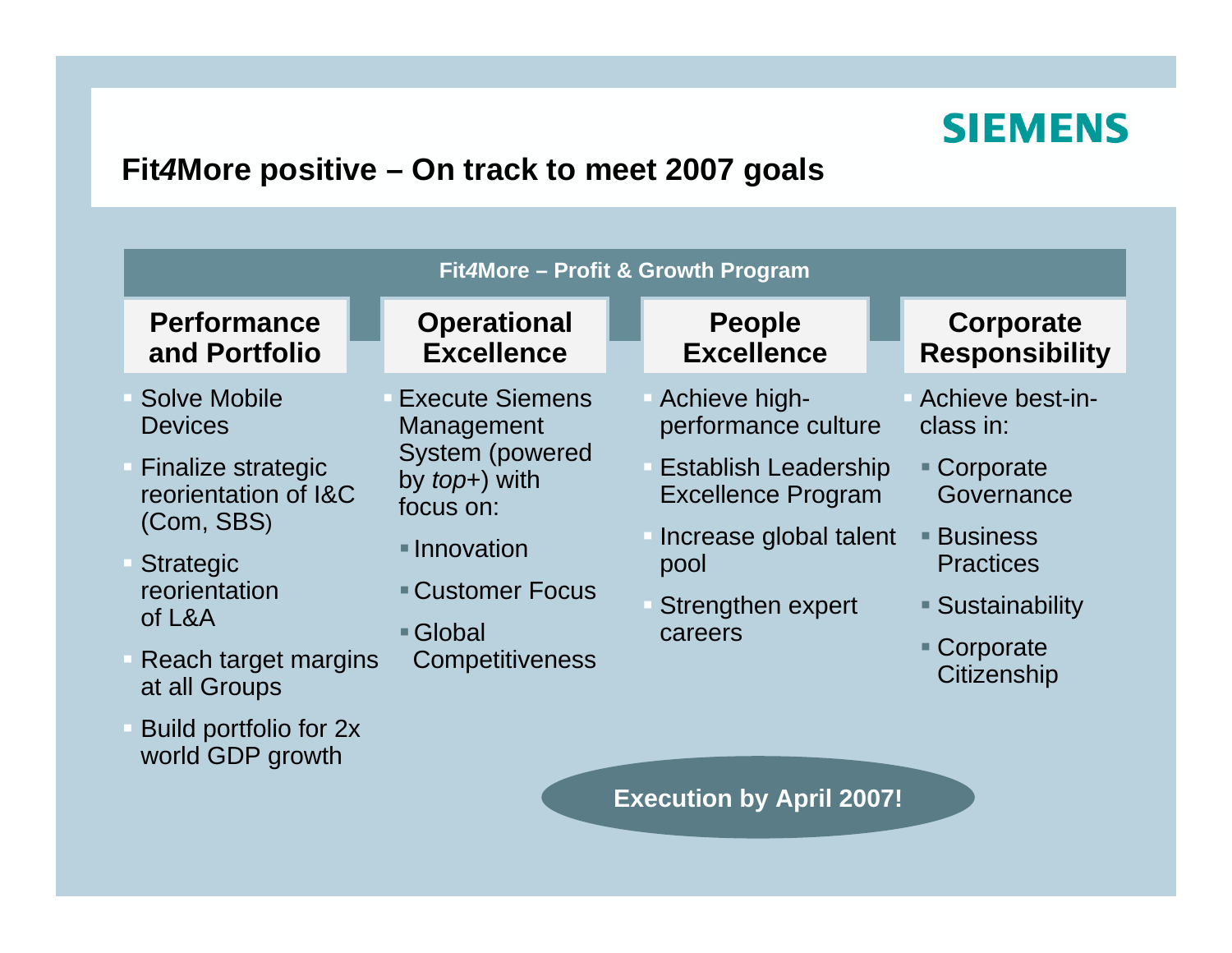#### **Fit***4***More positive – On track to meet 2007 goals**

| Fit4More - Profit & Growth Program                                                                                                                                                        |                                                                                                                                                                    |  |                                                                                                                                                                    |                                                                                                                                                             |
|-------------------------------------------------------------------------------------------------------------------------------------------------------------------------------------------|--------------------------------------------------------------------------------------------------------------------------------------------------------------------|--|--------------------------------------------------------------------------------------------------------------------------------------------------------------------|-------------------------------------------------------------------------------------------------------------------------------------------------------------|
| <b>Performance</b><br>and Portfolio                                                                                                                                                       | <b>Operational</b><br><b>Excellence</b>                                                                                                                            |  | <b>People</b><br><b>Excellence</b>                                                                                                                                 | Corporate<br><b>Responsibility</b>                                                                                                                          |
| Solve Mobile<br><b>Devices</b><br><b>Finalize strategic</b><br>reorientation of I&C<br>(Com, SBS)<br><b>Strategic</b><br>reorientation<br>of L&A<br>Reach target margins<br>at all Groups | <b>Execute Siemens</b><br>Management<br><b>System (powered</b><br>by $top+$ ) with<br>focus on:<br>• Innovation<br>■ Customer Focus<br>■ Global<br>Competitiveness |  | Achieve high-<br>performance culture<br><b>Establish Leadership</b><br><b>Excellence Program</b><br>Increase global talent<br>pool<br>Strengthen expert<br>careers | Achieve best-in-<br>class in:<br>■ Corporate<br>Governance<br>$\blacksquare$ Business<br><b>Practices</b><br>■ Sustainability<br>■ Corporate<br>Citizenship |
| Build portfolio for 2x<br>world GDP growth                                                                                                                                                |                                                                                                                                                                    |  | <b>Execution by April 2007!</b>                                                                                                                                    |                                                                                                                                                             |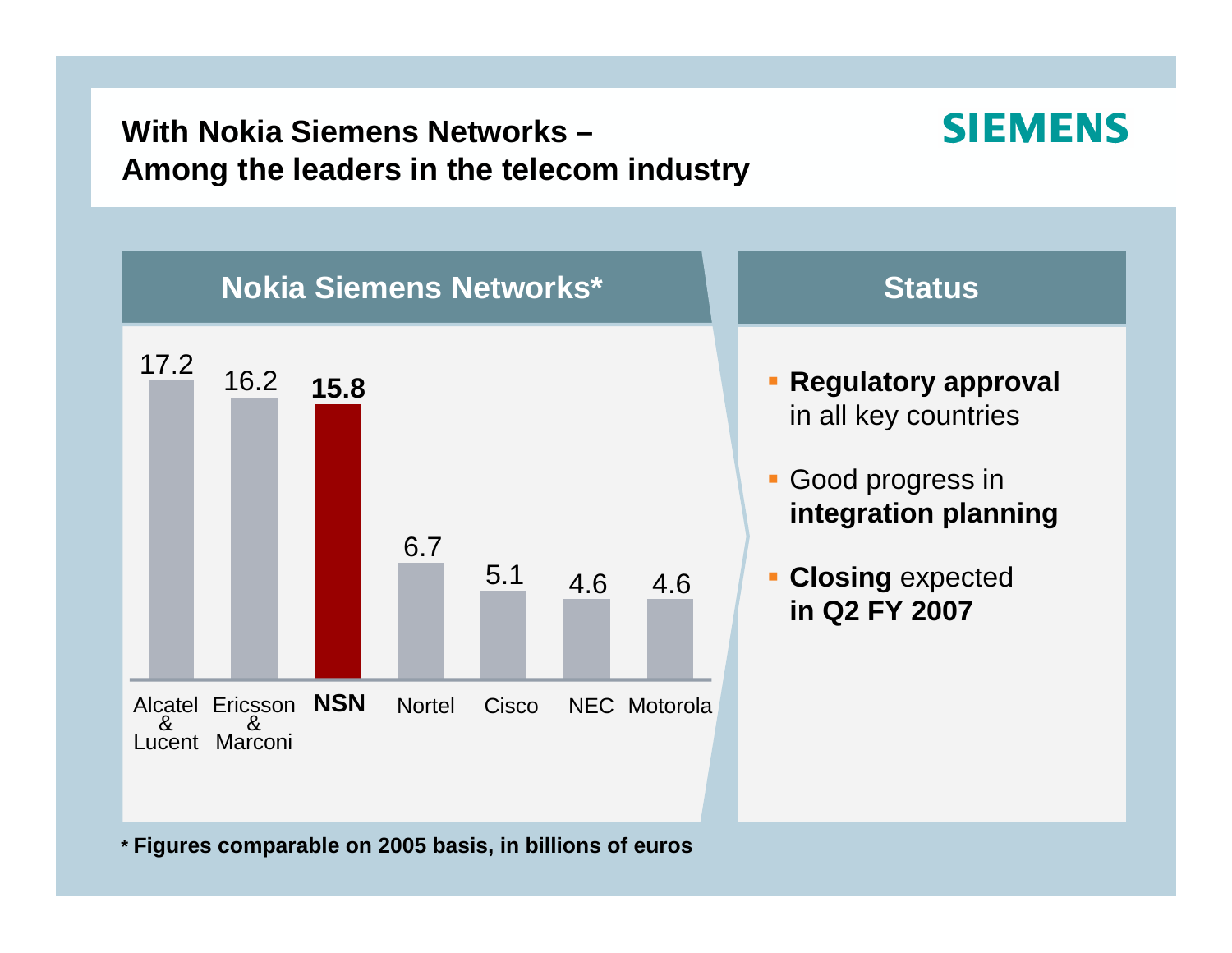#### **With Nokia Siemens Networks –Among the leaders in the telecom industry**

#### **SIEMENS**



**\* Figures comparable on 2005 basis, in billions of euros**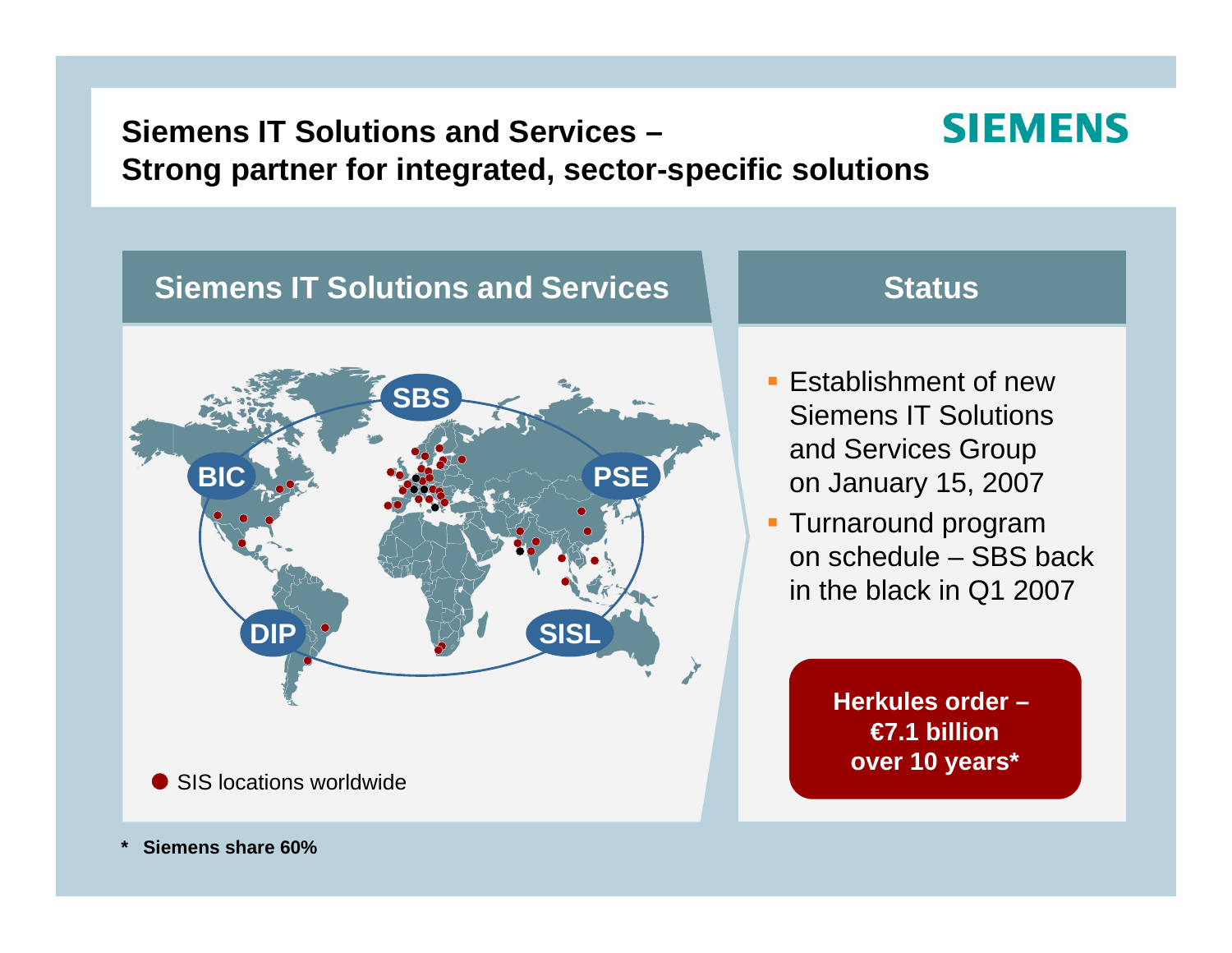#### **SIEMENS Siemens IT Solutions and Services –Strong partner for integrated, sector-specific solutions**

## **SBSBICC.I. PSE DIP SISL** SIS locations worldwide

**Siemens IT Solutions and Services**

#### **Status**

- **Establishment of new** Siemens IT Solutions and Services Group on January 15, 2007
- **Turnaround program** on schedule – SBS back in the black in Q1 2007

**Herkules order – €7.1 billionover 10 years\***

**\*Siemens share60%**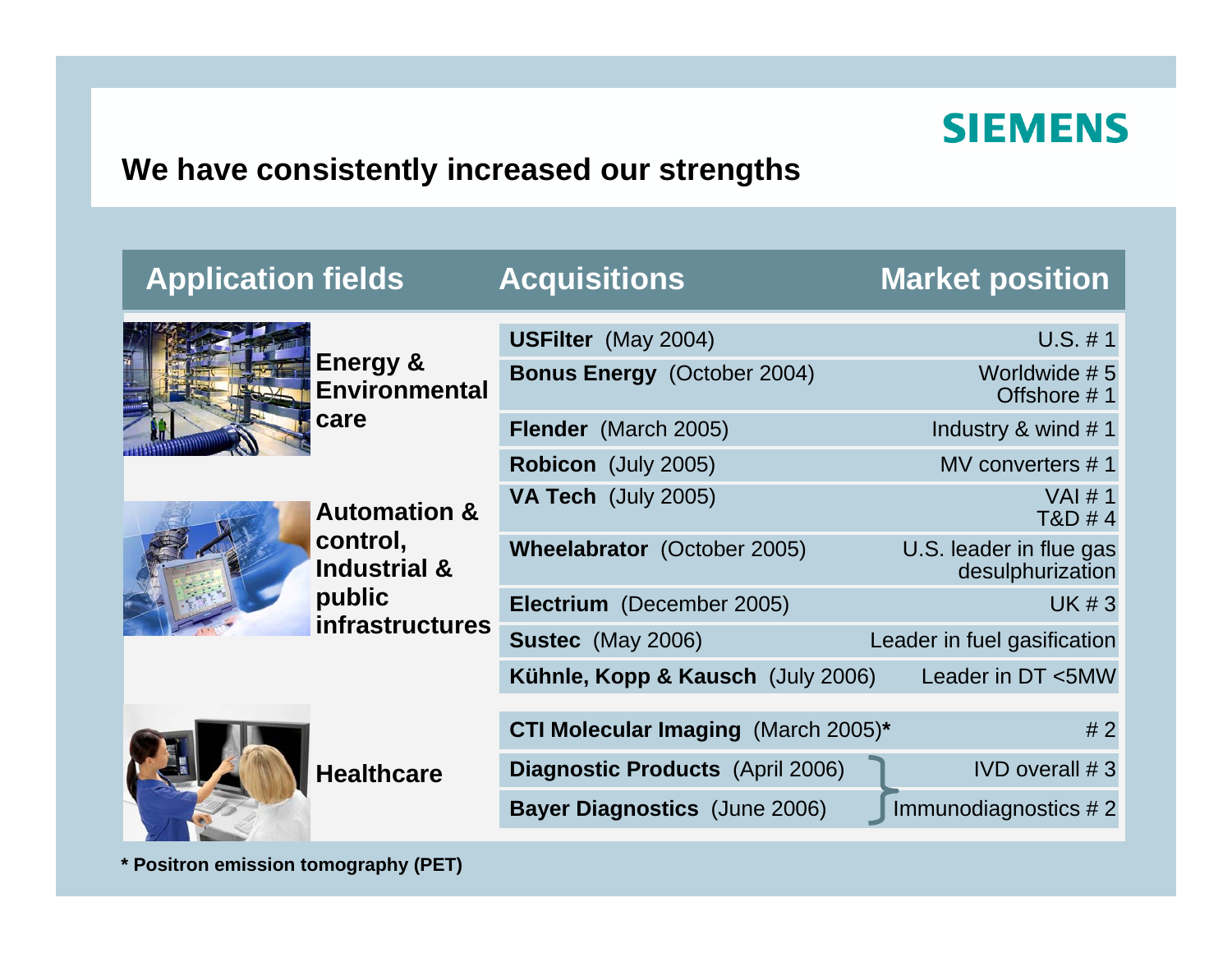#### **We have consistently increased our strengths**

| <b>Application fields</b>                                                | <b>Acquisitions</b>                        | <b>Market position</b>                      |
|--------------------------------------------------------------------------|--------------------------------------------|---------------------------------------------|
| <b>Energy &amp;</b><br><b>Environmental</b>                              | <b>USFilter</b> (May 2004)                 | $U.S. \# 1$                                 |
|                                                                          | <b>Bonus Energy (October 2004)</b>         | Worldwide #5<br>Offshore #1                 |
| care                                                                     | Flender (March 2005)                       | Industry & wind #1                          |
|                                                                          | <b>Robicon</b> (July 2005)                 | MV converters #1                            |
| <b>Automation &amp;</b><br>control,<br><b>Industrial &amp;</b><br>public | VA Tech (July 2005)                        | VAI #1<br>T&D #4                            |
|                                                                          | Wheelabrator (October 2005)                | U.S. leader in flue gas<br>desulphurization |
|                                                                          | Electrium (December 2005)                  | <b>UK#3</b>                                 |
| infrastructures                                                          | <b>Sustec</b> (May 2006)                   | Leader in fuel gasification                 |
|                                                                          | Kühnle, Kopp & Kausch (July 2006)          | Leader in DT <5MW                           |
| <b>Healthcare</b>                                                        | <b>CTI Molecular Imaging (March 2005)*</b> | #2                                          |
|                                                                          | <b>Diagnostic Products (April 2006)</b>    | $IVD$ overall $# 3$                         |
|                                                                          | <b>Bayer Diagnostics (June 2006)</b>       | Immunodiagnostics #2                        |

**\* Positron emission t omograph y (PET)**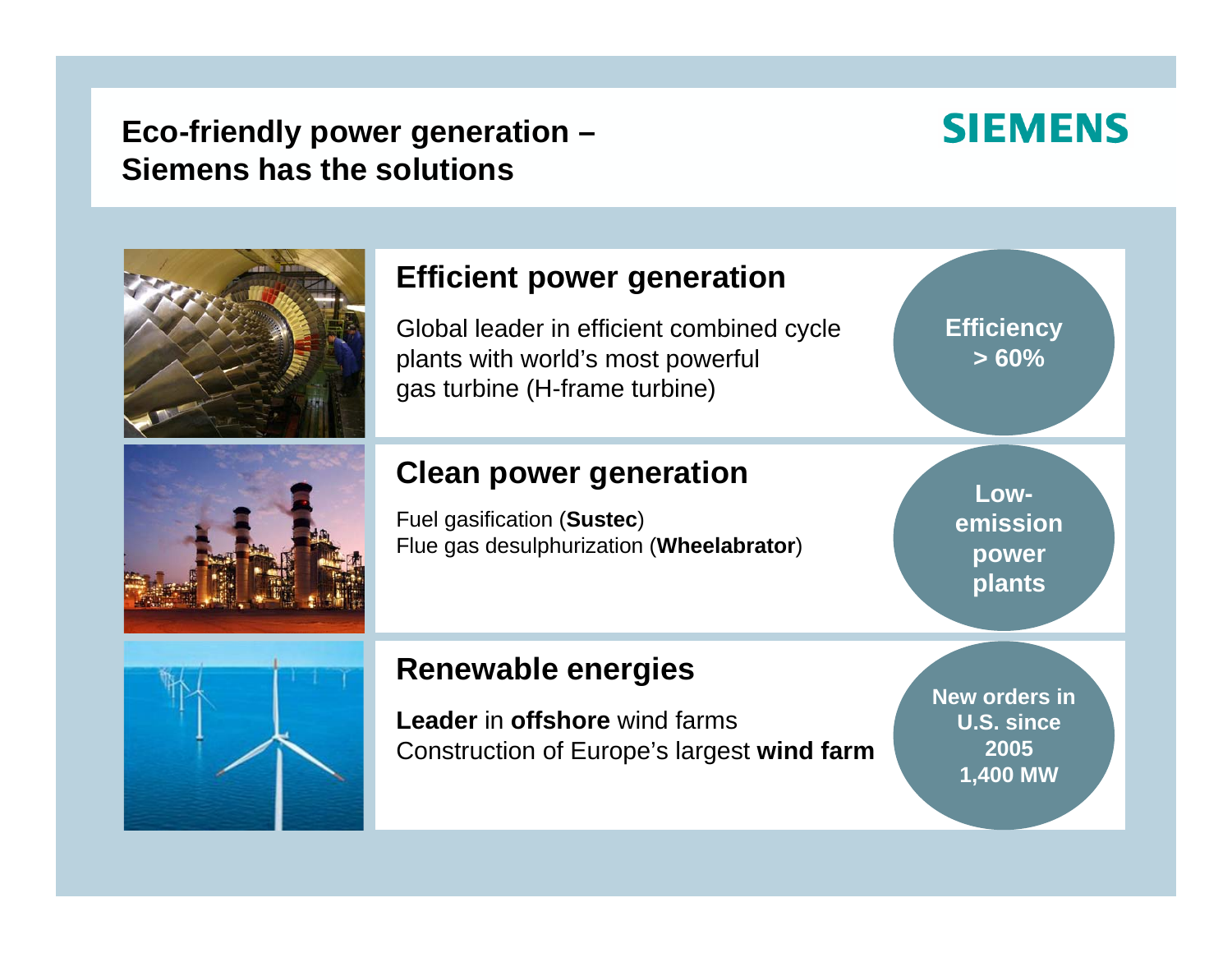#### **Eco-friendly power generation – Siemens has the solutions**

#### **SIEMENS**



#### **Efficient power generation**

Global leader in efficient combined cycle plants with world's most powerful gas turbine (H-frame tur bine)

#### **Clean power generation**

Fuel gasification (**Sustec**) Flue gas desulphurization (**Wheelabrator**) **Efficiency > 60%**

**Lowemissionpower plants**



#### **Renewable energies**

**Leader** in **offshore** win d farmsConstruction of Europe's largest **wind farm** **New orders in U.S. since 2005 1,400 MW**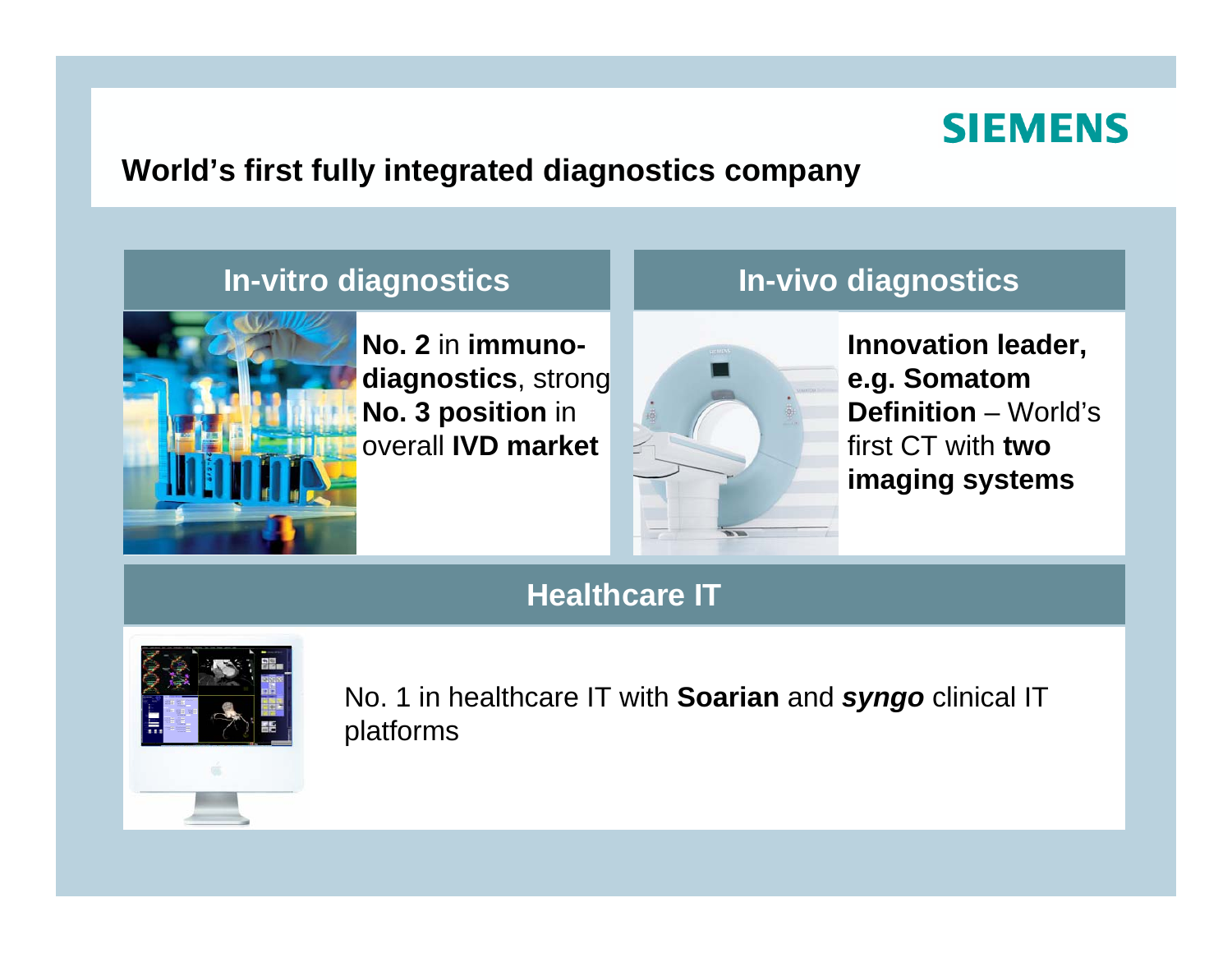

#### **World's first fully integrated diagnostics company**



**No. 2** in **immunodiagnostics**, strong **No. 3 position** in overall **IVD market**



**In-vitro diagnostics In-vivo diagnostics**

**Innovation leader, e.g. Somatom Definition** – World's first CT with **two imaging systems**

#### **Healthcare IT**



No. 1 in healthcare IT with **Soarian** and *syngo* clinical IT platforms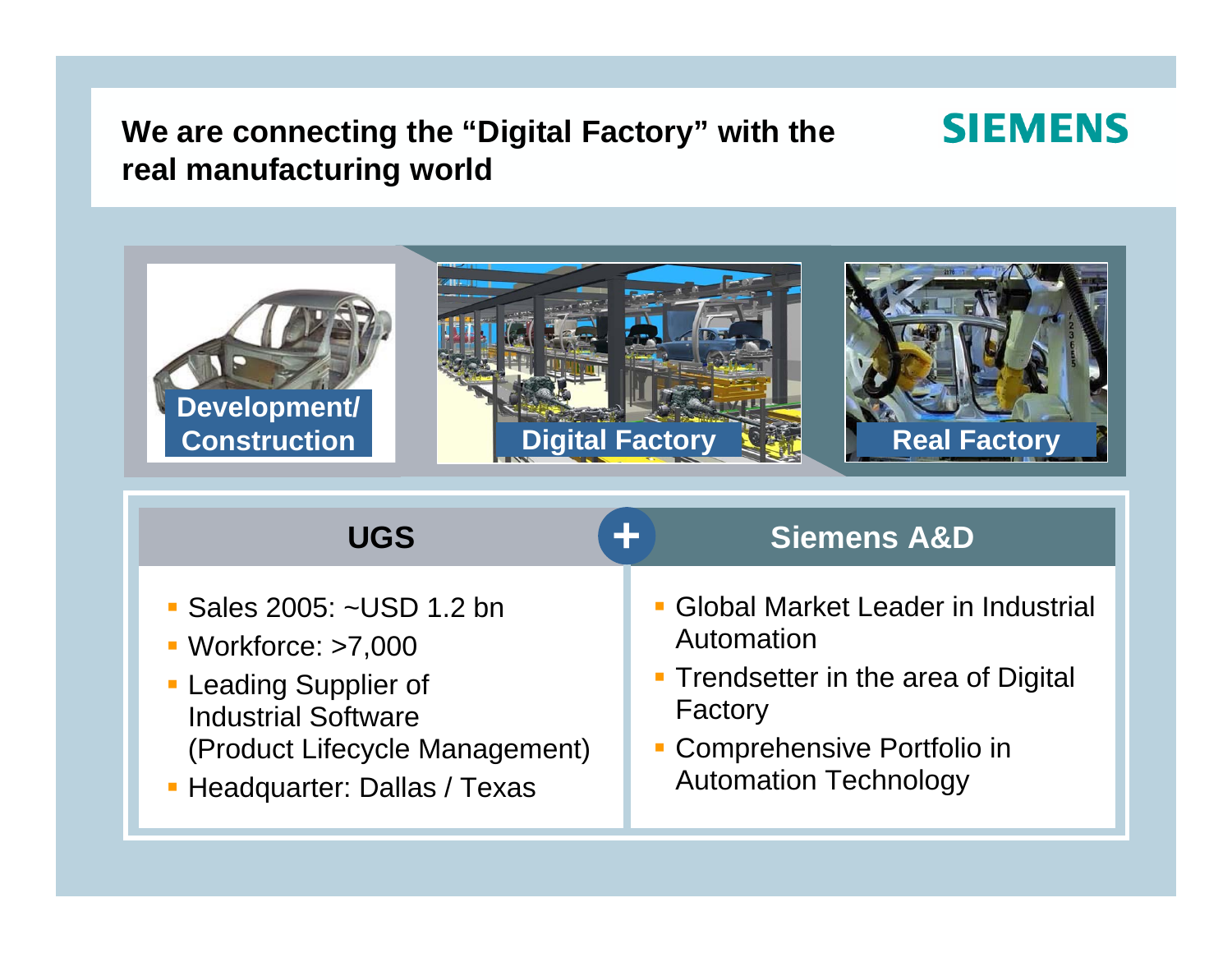#### **We are connecting the "Digital Factory" with the real manufacturing world**



**SIEMENS** 

| <b>UGS</b>                       | Ł<br><b>Siemens A&amp;D</b>          |
|----------------------------------|--------------------------------------|
| • Sales 2005: ~USD 1.2 bn        | • Global Market Leader in Industrial |
| $\blacksquare$ Workforce: >7,000 | Automation                           |
| • Leading Supplier of            | • Trendsetter in the area of Digital |
| <b>Industrial Software</b>       | Factory                              |
| (Product Lifecycle Management)   | • Comprehensive Portfolio in         |
| • Headquarter: Dallas / Texas    | <b>Automation Technology</b>         |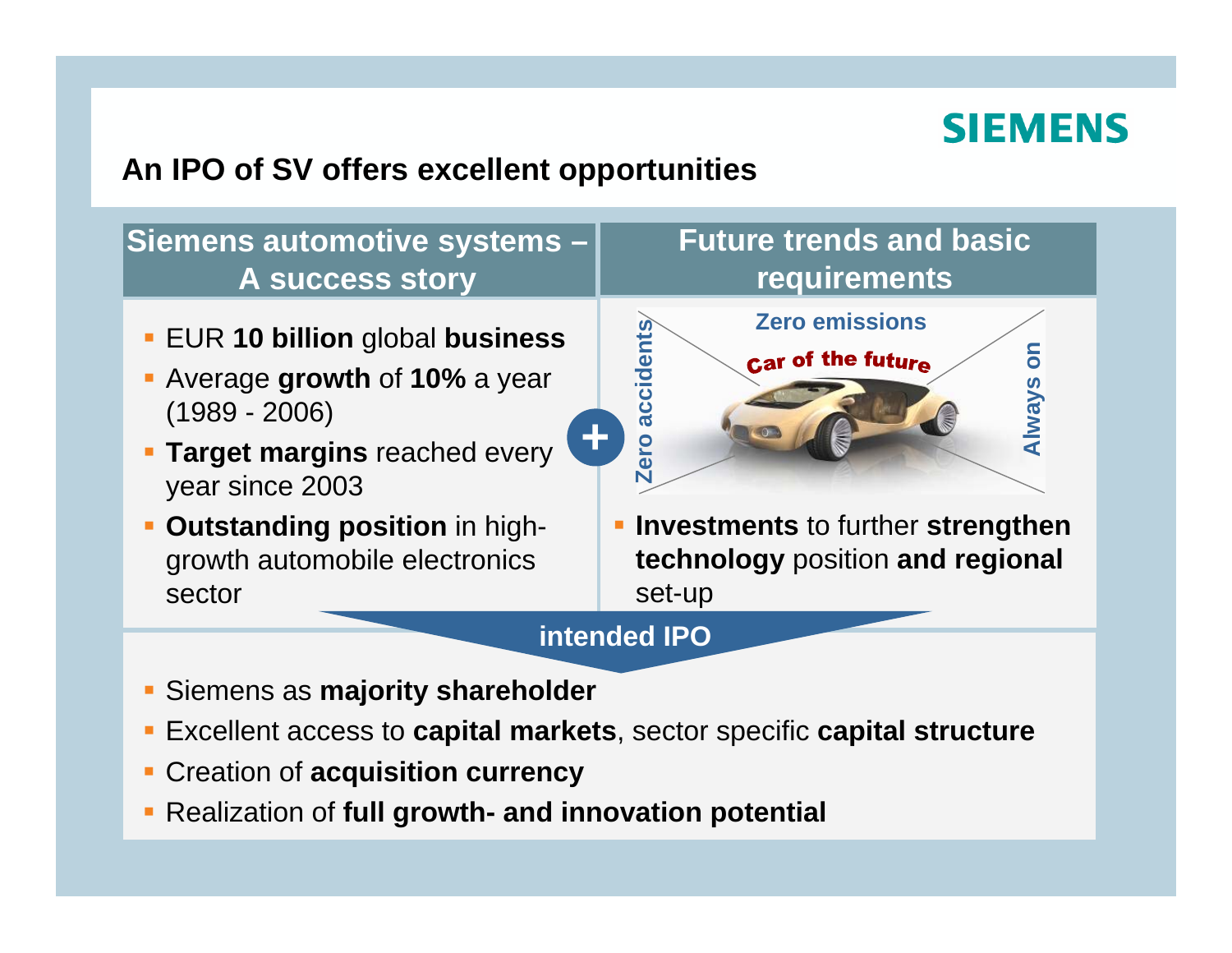#### **An IPO of SV offers excellent opportunities**

#### **Siemens automotive systems – Future trends and basic requirements A success story Zero emissionsEUR 10 billion global business<br>
<b>Average growth** of 10% a year<br>
(1989 - 2006)<br> **Target margins** reached every<br>
year since 2003 **s on** Car of the future **Alway + Investments** to further **strengthen Outstanding position** in high-П **technology** position **and regional**  growth automobile electronics sectorset-up

#### **intended IPO**

- Siemens as **majority shareholder**
- Excellent access to **capital markets**, sector specific **capital structure**
- П Creation of **acquisition currency**
- Realization of **full growth- and innovation potential**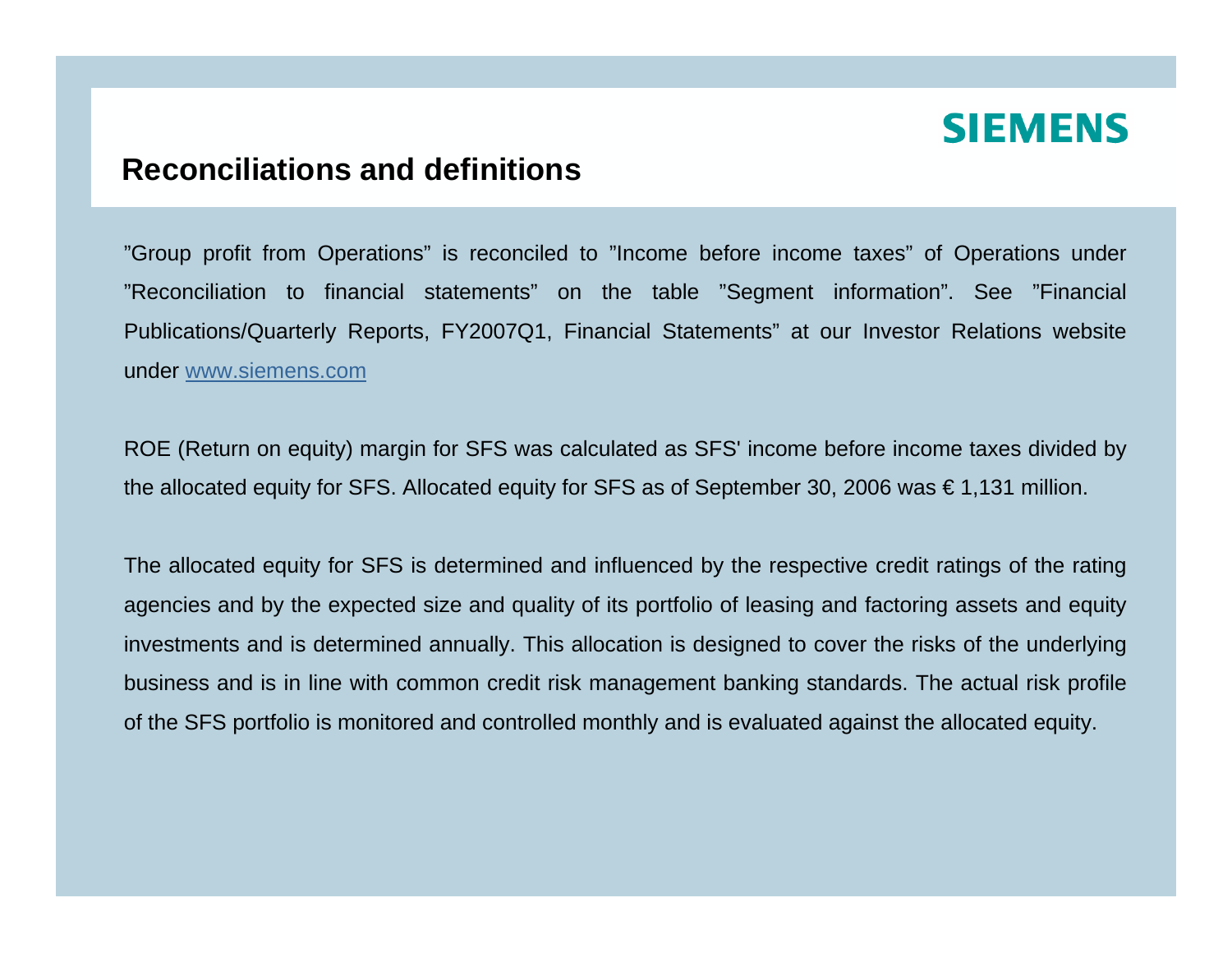#### **Reconciliations and definitions**

"Group profit from Operations" is reconciled to "Income before income taxes" of Operations under "Reconciliation to financial statements" on the table "Segment information". See "Financial Publications/Quarterly Reports, FY2007Q1, Financial Statements" at our Investor Relations website under [www.siemens.com](http://www.siemens.com/)

ROE (Return on equity) margin for SFS was calculated as SFS' income before income taxes divided by the allocated equity for SFS. Allocated equity for SFS as of September 30, 2006 was € 1,131 million.

The allocated equity for SFS is determined and influenced by the respective credit ratings of the rating agencies and by the expected size and quality of its portfolio of leasing and factoring assets and equity investments and is determined annually. This allocation is designed to cover the risks of the underlying business and is in line with common credit risk management banking standards. The actual risk profile of the SFS portfolio is monitored and controlled monthly and is evaluated against the allocated equity.